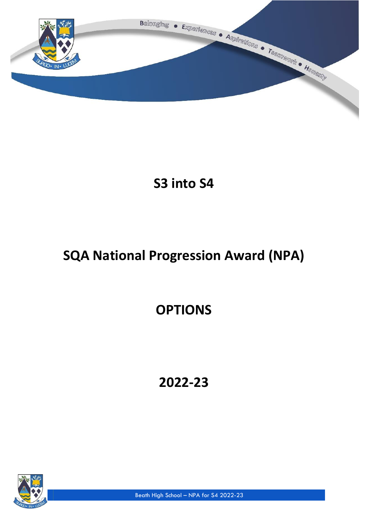

**S3 into S4**

# **SQA National Progression Award (NPA)**

# **OPTIONS**

**2022-23**



Beath High School – NPA for S4 2022-23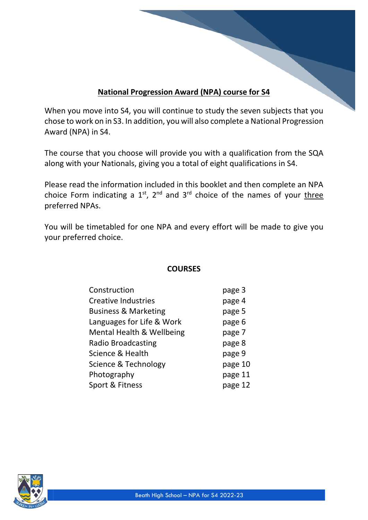# **National Progression Award (NPA) course for S4**

When you move into S4, you will continue to study the seven subjects that you chose to work on in S3. In addition, you will also complete a National Progression Award (NPA) in S4.

The course that you choose will provide you with a qualification from the SQA along with your Nationals, giving you a total of eight qualifications in S4.

Please read the information included in this booklet and then complete an NPA choice Form indicating a  $1^{st}$ ,  $2^{nd}$  and  $3^{rd}$  choice of the names of your three preferred NPAs.

You will be timetabled for one NPA and every effort will be made to give you your preferred choice.

## **COURSES**

| Construction                    | page 3  |
|---------------------------------|---------|
| <b>Creative Industries</b>      | page 4  |
| <b>Business &amp; Marketing</b> | page 5  |
| Languages for Life & Work       | page 6  |
| Mental Health & Wellbeing       | page 7  |
| <b>Radio Broadcasting</b>       | page 8  |
| Science & Health                | page 9  |
| Science & Technology            | page 10 |
| Photography                     | page 11 |
| Sport & Fitness                 | page 12 |

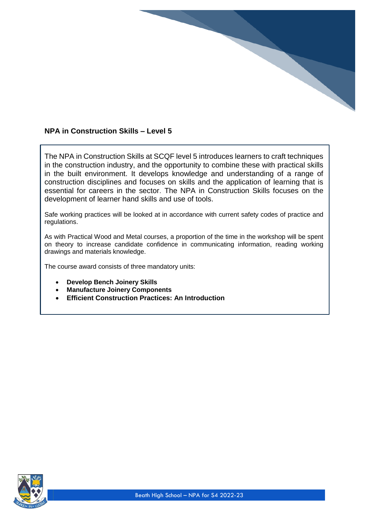## **NPA in Construction Skills – Level 5**

The NPA in Construction Skills at SCQF level 5 introduces learners to craft techniques in the construction industry, and the opportunity to combine these with practical skills in the built environment. It develops knowledge and understanding of a range of construction disciplines and focuses on skills and the application of learning that is essential for careers in the sector. The NPA in Construction Skills focuses on the development of learner hand skills and use of tools.

Safe working practices will be looked at in accordance with current safety codes of practice and regulations.

As with Practical Wood and Metal courses, a proportion of the time in the workshop will be spent on theory to increase candidate confidence in communicating information, reading working drawings and materials knowledge.

The course award consists of three mandatory units:

- **Develop Bench Joinery Skills**
- **Manufacture Joinery Components**
- **Efficient Construction Practices: An Introduction**

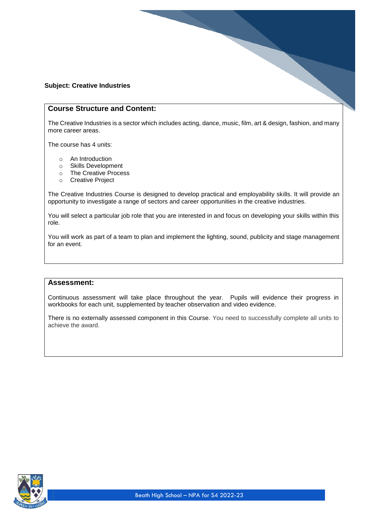#### **Subject: Creative Industries**

#### **Course Structure and Content:**

The Creative Industries is a sector which includes acting, dance, music, film, art & design, fashion, and many more career areas.

The course has 4 units:

- o An Introduction
- o Skills Development
- o The Creative Process
- o Creative Project

The Creative Industries Course is designed to develop practical and employability skills. It will provide an opportunity to investigate a range of sectors and career opportunities in the creative industries.

You will select a particular job role that you are interested in and focus on developing your skills within this role.

You will work as part of a team to plan and implement the lighting, sound, publicity and stage management for an event.

#### **Assessment:**

Continuous assessment will take place throughout the year. Pupils will evidence their progress in workbooks for each unit, supplemented by teacher observation and video evidence.

There is no externally assessed component in this Course. You need to successfully complete all units to achieve the award.

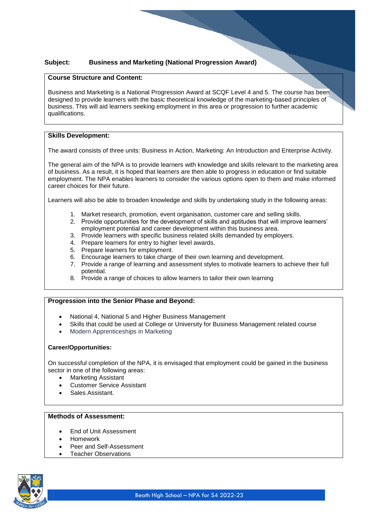#### **Subject: Business and Marketing (National Progression Award)**

#### **Course Structure and Content:**

Business and Marketing is a National Progression Award at SCQF Level 4 and 5. The course has been designed to provide learners with the basic theoretical knowledge of the marketing-based principles of business. This will aid learners seeking employment in this area or progression to further academic qualifications.

#### **Skills Development:**

The award consists of three units: Business in Action, Marketing: An Introduction and Enterprise Activity.

The general aim of the NPA is to provide learners with knowledge and skills relevant to the marketing area of business. As a result, it is hoped that learners are then able to progress in education or find suitable employment. The NPA enables learners to consider the various options open to them and make informed career choices for their future.

Learners will also be able to broaden knowledge and skills by undertaking study in the following areas:

- 1. Market research, promotion, event organisation, customer care and selling skills.
- 2. Provide opportunities for the development of skills and aptitudes that will improve learners' employment potential and career development within this business area.
- 3. Provide learners with specific business related skills demanded by employers.
- 4. Prepare learners for entry to higher level awards.
- 5. Prepare learners for employment.
- 6. Encourage learners to take charge of their own learning and development.
- 7. Provide a range of learning and assessment styles to motivate learners to achieve their full potential.
- 8. Provide a range of choices to allow learners to tailor their own learning

#### **Progression into the Senior Phase and Beyond:**

- National 4, National 5 and Higher Business Management
- Skills that could be used at College or University for Business Management related course
- Modern Apprenticeships in Marketing

#### **Career/Opportunities:**

On successful completion of the NPA, it is envisaged that employment could be gained in the business sector in one of the following areas:

- Marketing Assistant
- Customer Service Assistant
- Sales Assistant.

#### **Methods of Assessment:**

- End of Unit Assessment
- Homework
- Peer and Self-Assessment
- Teacher Observations

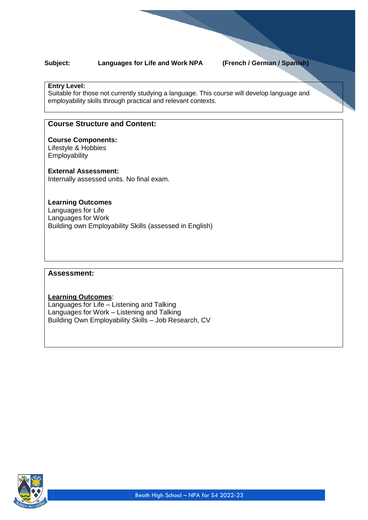#### **Subject: Languages for Life and Work NPA (French / German / Spanish)**

#### **Entry Level:**

Suitable for those not currently studying a language. This course will develop language and employability skills through practical and relevant contexts.

#### **Course Structure and Content:**

#### **Course Components:**

Lifestyle & Hobbies **Employability** 

#### **External Assessment:**

Internally assessed units. No final exam.

#### **Learning Outcomes**

Languages for Life Languages for Work Building own Employability Skills (assessed in English)

#### **Assessment:**

#### **Learning Outcomes**: Languages for Life – Listening and Talking Languages for Work – Listening and Talking Building Own Employability Skills – Job Research, CV

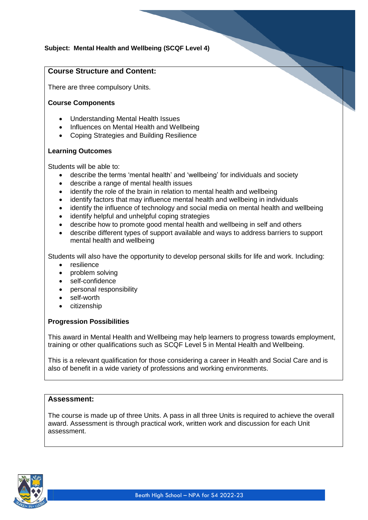### **Subject: Mental Health and Wellbeing (SCQF Level 4)**

#### **Course Structure and Content:**

There are three compulsory Units.

#### **Course Components**

- Understanding Mental Health Issues
- Influences on Mental Health and Wellbeing
- Coping Strategies and Building Resilience

#### **Learning Outcomes**

Students will be able to:

- describe the terms 'mental health' and 'wellbeing' for individuals and society
- describe a range of mental health issues
- identify the role of the brain in relation to mental health and wellbeing
- identify factors that may influence mental health and wellbeing in individuals
- identify the influence of technology and social media on mental health and wellbeing
- identify helpful and unhelpful coping strategies
- describe how to promote good mental health and wellbeing in self and others
- describe different types of support available and ways to address barriers to support mental health and wellbeing

Students will also have the opportunity to develop personal skills for life and work. Including:

- resilience
- problem solving
- self-confidence
- personal responsibility
- self-worth
- citizenship

#### **Progression Possibilities**

This award in Mental Health and Wellbeing may help learners to progress towards employment, training or other qualifications such as SCQF Level 5 in Mental Health and Wellbeing.

This is a relevant qualification for those considering a career in Health and Social Care and is also of benefit in a wide variety of professions and working environments.

#### **Assessment:**

The course is made up of three Units. A pass in all three Units is required to achieve the overall award. Assessment is through practical work, written work and discussion for each Unit assessment.

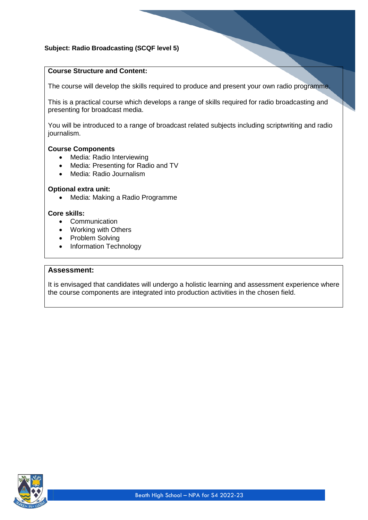#### **Subject: Radio Broadcasting (SCQF level 5)**

#### **Course Structure and Content:**

The course will develop the skills required to produce and present your own radio programme.

This is a practical course which develops a range of skills required for radio broadcasting and presenting for broadcast media.

You will be introduced to a range of broadcast related subjects including scriptwriting and radio journalism.

#### **Course Components**

- Media: Radio Interviewing
- Media: Presenting for Radio and TV
- Media: Radio Journalism

#### **Optional extra unit:**

• Media: Making a Radio Programme

#### **Core skills:**

- Communication
- Working with Others
- Problem Solving
- Information Technology

#### **Assessment:**

It is envisaged that candidates will undergo a holistic learning and assessment experience where the course components are integrated into production activities in the chosen field.

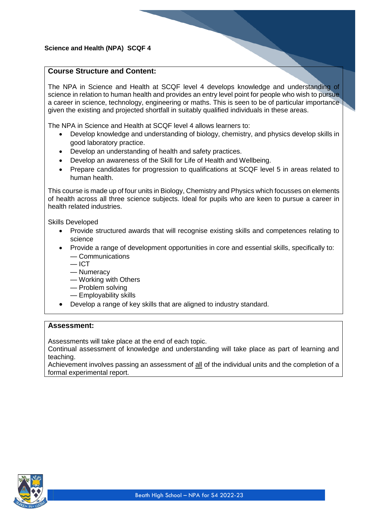#### **Science and Health (NPA) SCQF 4**

#### **Course Structure and Content:**

The NPA in Science and Health at SCQF level 4 develops knowledge and understanding of science in relation to human health and provides an entry level point for people who wish to pursue a career in science, technology, engineering or maths. This is seen to be of particular importance given the existing and projected shortfall in suitably qualified individuals in these areas.

The NPA in Science and Health at SCQF level 4 allows learners to:

- Develop knowledge and understanding of biology, chemistry, and physics develop skills in good laboratory practice.
- Develop an understanding of health and safety practices.
- Develop an awareness of the Skill for Life of Health and Wellbeing.
- Prepare candidates for progression to qualifications at SCQF level 5 in areas related to human health.

This course is made up of four units in Biology, Chemistry and Physics which focusses on elements of health across all three science subjects. Ideal for pupils who are keen to pursue a career in health related industries.

Skills Developed

- Provide structured awards that will recognise existing skills and competences relating to science
- Provide a range of development opportunities in core and essential skills, specifically to: — Communications
	- $-$  ICT
	- Numeracy
	- Working with Others
	- Problem solving
	- Employability skills
- Develop a range of key skills that are aligned to industry standard.

#### **Assessment:**

Assessments will take place at the end of each topic.

Continual assessment of knowledge and understanding will take place as part of learning and teaching.

Achievement involves passing an assessment of all of the individual units and the completion of a formal experimental report.

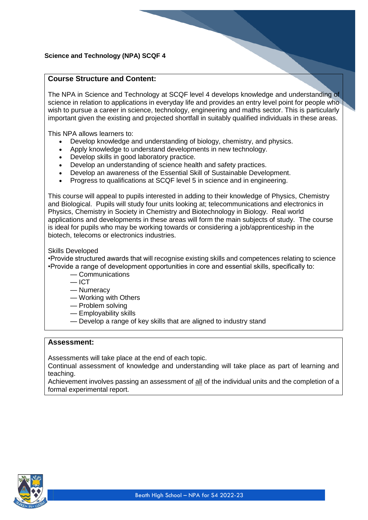#### **Science and Technology (NPA) SCQF 4**

#### **Course Structure and Content:**

The NPA in Science and Technology at SCQF level 4 develops knowledge and understanding of science in relation to applications in everyday life and provides an entry level point for people who wish to pursue a career in science, technology, engineering and maths sector. This is particularly important given the existing and projected shortfall in suitably qualified individuals in these areas.

This NPA allows learners to:

- Develop knowledge and understanding of biology, chemistry, and physics.
- Apply knowledge to understand developments in new technology.
- Develop skills in good laboratory practice.
- Develop an understanding of science health and safety practices.
- Develop an awareness of the Essential Skill of Sustainable Development.
- Progress to qualifications at SCQF level 5 in science and in engineering.

This course will appeal to pupils interested in adding to their knowledge of Physics, Chemistry and Biological. Pupils will study four units looking at; telecommunications and electronics in Physics, Chemistry in Society in Chemistry and Biotechnology in Biology. Real world applications and developments in these areas will form the main subjects of study. The course is ideal for pupils who may be working towards or considering a job/apprenticeship in the biotech, telecoms or electronics industries.

#### Skills Developed

•Provide structured awards that will recognise existing skills and competences relating to science •Provide a range of development opportunities in core and essential skills, specifically to:

- Communications
- $=$  ICT
- Numeracy
- Working with Others
- Problem solving
- Employability skills
- Develop a range of key skills that are aligned to industry stand

#### **Assessment:**

Assessments will take place at the end of each topic.

Continual assessment of knowledge and understanding will take place as part of learning and teaching.

Achievement involves passing an assessment of all of the individual units and the completion of a formal experimental report.

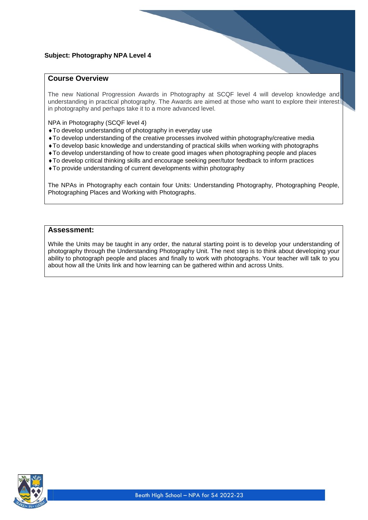#### **Course Overview**

The new National Progression Awards in Photography at SCQF level 4 will develop knowledge and understanding in practical photography. The Awards are aimed at those who want to explore their interest in photography and perhaps take it to a more advanced level.

NPA in Photography (SCQF level 4)

- To develop understanding of photography in everyday use
- To develop understanding of the creative processes involved within photography/creative media
- To develop basic knowledge and understanding of practical skills when working with photographs
- To develop understanding of how to create good images when photographing people and places
- To develop critical thinking skills and encourage seeking peer/tutor feedback to inform practices
- To provide understanding of current developments within photography

The NPAs in Photography each contain four Units: Understanding Photography, Photographing People, Photographing Places and Working with Photographs.

#### **Assessment:**

While the Units may be taught in any order, the natural starting point is to develop your understanding of photography through the Understanding Photography Unit. The next step is to think about developing your ability to photograph people and places and finally to work with photographs. Your teacher will talk to you about how all the Units link and how learning can be gathered within and across Units.

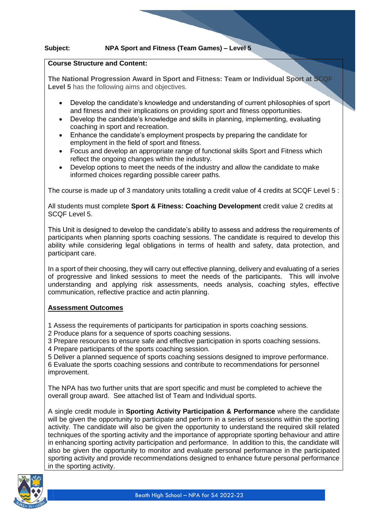#### **Course Structure and Content:**

**The National Progression Award in Sport and Fitness: Team or Individual Sport at SCQF Level 5** has the following aims and objectives.

- Develop the candidate's knowledge and understanding of current philosophies of sport and fitness and their implications on providing sport and fitness opportunities.
- Develop the candidate's knowledge and skills in planning, implementing, evaluating coaching in sport and recreation.
- Enhance the candidate's employment prospects by preparing the candidate for employment in the field of sport and fitness.
- Focus and develop an appropriate range of functional skills Sport and Fitness which reflect the ongoing changes within the industry.
- Develop options to meet the needs of the industry and allow the candidate to make informed choices regarding possible career paths.

The course is made up of 3 mandatory units totalling a credit value of 4 credits at SCQF Level 5 :

All students must complete **Sport & Fitness: Coaching Development** credit value 2 credits at SCQF Level 5.

This Unit is designed to develop the candidate's ability to assess and address the requirements of participants when planning sports coaching sessions. The candidate is required to develop this ability while considering legal obligations in terms of health and safety, data protection, and participant care.

In a sport of their choosing, they will carry out effective planning, delivery and evaluating of a series of progressive and linked sessions to meet the needs of the participants. This will involve understanding and applying risk assessments, needs analysis, coaching styles, effective communication, reflective practice and actin planning.

#### **Assessment Outcomes**

1 Assess the requirements of participants for participation in sports coaching sessions.

2 Produce plans for a sequence of sports coaching sessions.

3 Prepare resources to ensure safe and effective participation in sports coaching sessions.

4 Prepare participants of the sports coaching session.

5 Deliver a planned sequence of sports coaching sessions designed to improve performance. 6 Evaluate the sports coaching sessions and contribute to recommendations for personnel improvement.

The NPA has two further units that are sport specific and must be completed to achieve the overall group award. See attached list of Team and Individual sports.

A single credit module in **Sporting Activity Participation & Performance** where the candidate will be given the opportunity to participate and perform in a series of sessions within the sporting activity. The candidate will also be given the opportunity to understand the required skill related techniques of the sporting activity and the importance of appropriate sporting behaviour and attire in enhancing sporting activity participation and performance. In addition to this, the candidate will also be given the opportunity to monitor and evaluate personal performance in the participated sporting activity and provide recommendations designed to enhance future personal performance in the sporting activity.